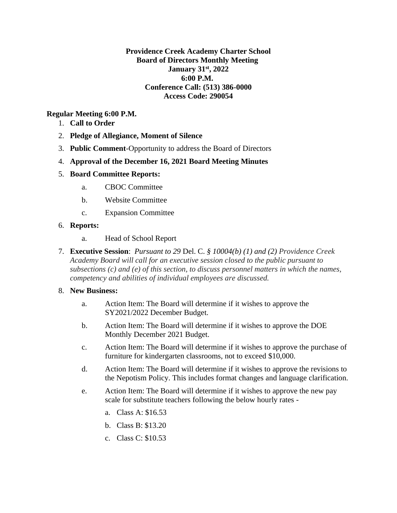### **Providence Creek Academy Charter School Board of Directors Monthly Meeting January 31st, 2022 6:00 P.M. Conference Call: (513) 386-0000 Access Code: 290054**

### **Regular Meeting 6:00 P.M.**

- 1. **Call to Order**
- 2. **Pledge of Allegiance, Moment of Silence**
- 3. **Public Comment**-Opportunity to address the Board of Directors
- 4. **Approval of the December 16, 2021 Board Meeting Minutes**

#### 5. **Board Committee Reports:**

- a. CBOC Committee
- b. Website Committee
- c. Expansion Committee

#### 6. **Reports:**

- a. Head of School Report
- 7. **Executive Session**: *Pursuant to 29* Del. C. *§ 10004(b) (1) and (2) Providence Creek Academy Board will call for an executive session closed to the public pursuant to subsections (c) and (e) of this section, to discuss personnel matters in which the names, competency and abilities of individual employees are discussed.*

#### 8. **New Business:**

- a. Action Item: The Board will determine if it wishes to approve the SY2021/2022 December Budget.
- b. Action Item: The Board will determine if it wishes to approve the DOE Monthly December 2021 Budget.
- c. Action Item: The Board will determine if it wishes to approve the purchase of furniture for kindergarten classrooms, not to exceed \$10,000.
- d. Action Item: The Board will determine if it wishes to approve the revisions to the Nepotism Policy. This includes format changes and language clarification.
- e. Action Item: The Board will determine if it wishes to approve the new pay scale for substitute teachers following the below hourly rates
	- a. Class A: \$16.53
	- b. Class B: \$13.20
	- c. Class C: \$10.53